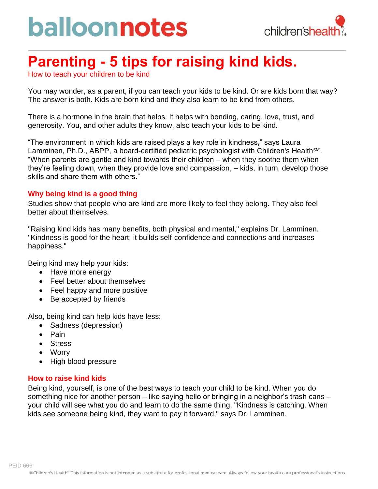# balloonnotes



### **Parenting - 5 tips for raising kind kids.**

How to teach your children to be kind

You may wonder, as a parent, if you can teach your kids to be kind. Or are kids born that way? The answer is both. Kids are born kind and they also learn to be kind from others.

There is a hormone in the brain that helps. It helps with bonding, caring, love, trust, and generosity. You, and other adults they know, also teach your kids to be kind.

"The environment in which kids are raised plays a key role in kindness," says Laura Lamminen, Ph.D., ABPP, a board-certified pediatric psychologist with Children's Health<sup>SM</sup>. "When parents are gentle and kind towards their children – when they soothe them when they're feeling down, when they provide love and compassion, – kids, in turn, develop those skills and share them with others."

#### **Why being kind is a good thing**

Studies show that people who are kind are more likely to feel they belong. They also feel better about themselves.

"Raising kind kids has many benefits, both physical and mental," explains Dr. Lamminen. "Kindness is good for the heart; it builds self-confidence and connections and increases happiness."

Being kind may help your kids:

- Have more energy
- Feel better about themselves
- Feel happy and more positive
- Be accepted by friends

Also, being kind can help kids have less:

- Sadness (depression)
- Pain
- Stress
- Worry
- High blood pressure

#### **How to raise kind kids**

Being kind, yourself, is one of the best ways to teach your child to be kind. When you do something nice for another person – like saying hello or bringing in a neighbor's trash cans – your child will see what you do and learn to do the same thing. "Kindness is catching. When kids see someone being kind, they want to pay it forward," says Dr. Lamminen.